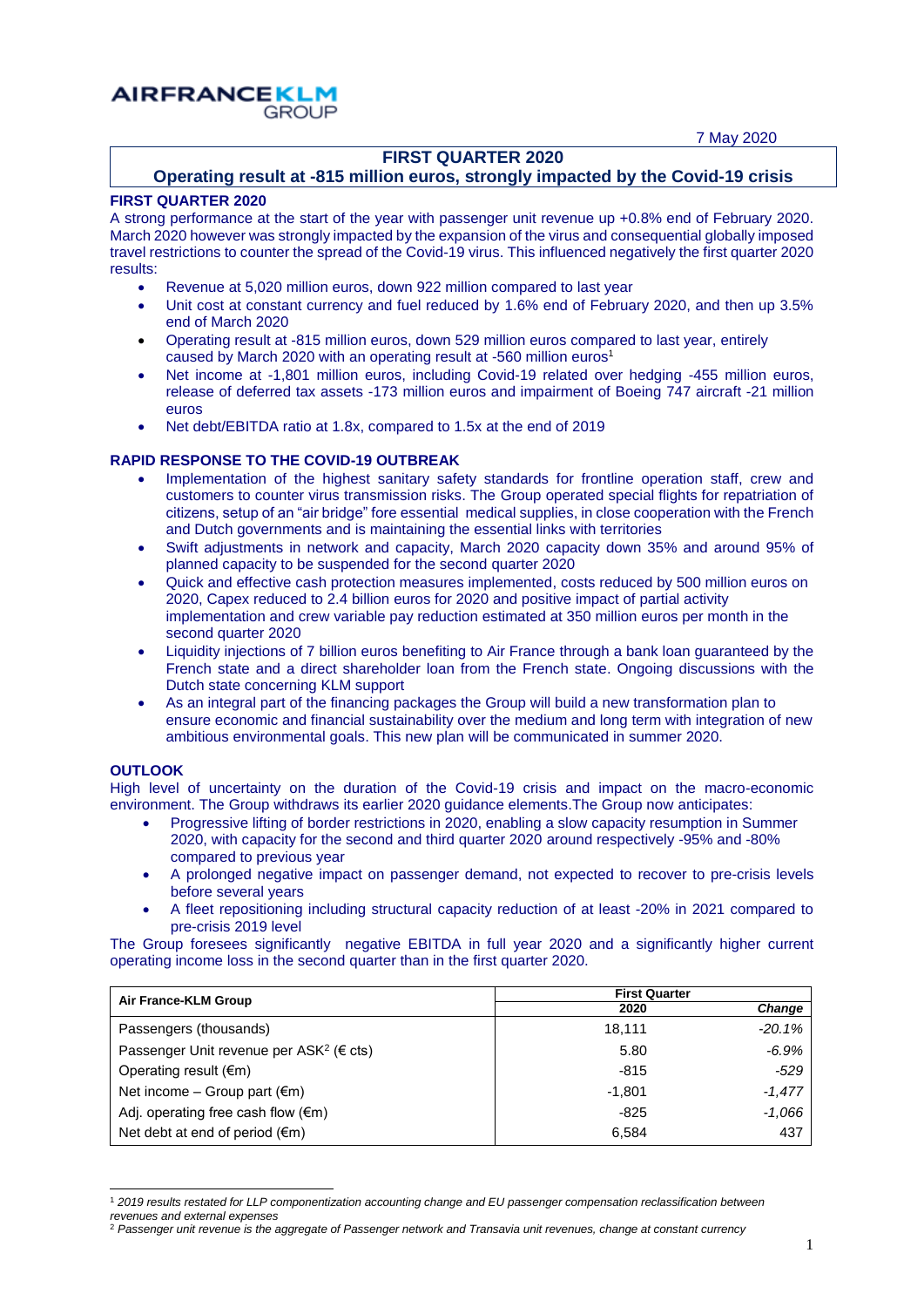7 May 2020

### **FIRST QUARTER 2020**

## **Operating result at -815 million euros, strongly impacted by the Covid-19 crisis**

#### **FIRST QUARTER 2020**

**AIRFRANCEKLM** 

**GROUP** 

A strong performance at the start of the year with passenger unit revenue up +0.8% end of February 2020. March 2020 however was strongly impacted by the expansion of the virus and consequential globally imposed travel restrictions to counter the spread of the Covid-19 virus. This influenced negatively the first quarter 2020 results:

- Revenue at 5,020 million euros, down 922 million compared to last year
- Unit cost at constant currency and fuel reduced by 1.6% end of February 2020, and then up 3.5% end of March 2020
- Operating result at -815 million euros, down 529 million euros compared to last year, entirely caused by March 2020 with an operating result at -560 million euros<sup>1</sup>
- Net income at -1,801 million euros, including Covid-19 related over hedging -455 million euros, release of deferred tax assets -173 million euros and impairment of Boeing 747 aircraft -21 million euros
- Net debt/EBITDA ratio at 1.8x, compared to 1.5x at the end of 2019

#### **RAPID RESPONSE TO THE COVID-19 OUTBREAK**

- Implementation of the highest sanitary safety standards for frontline operation staff, crew and customers to counter virus transmission risks. The Group operated special flights for repatriation of citizens, setup of an "air bridge" fore essential medical supplies, in close cooperation with the French and Dutch governments and is maintaining the essential links with territories
- Swift adjustments in network and capacity, March 2020 capacity down 35% and around 95% of planned capacity to be suspended for the second quarter 2020
- Quick and effective cash protection measures implemented, costs reduced by 500 million euros on 2020, Capex reduced to 2.4 billion euros for 2020 and positive impact of partial activity implementation and crew variable pay reduction estimated at 350 million euros per month in the second quarter 2020
- Liquidity injections of 7 billion euros benefiting to Air France through a bank loan guaranteed by the French state and a direct shareholder loan from the French state. Ongoing discussions with the Dutch state concerning KLM support
- As an integral part of the financing packages the Group will build a new transformation plan to ensure economic and financial sustainability over the medium and long term with integration of new ambitious environmental goals. This new plan will be communicated in summer 2020.

#### **OUTLOOK**

l

High level of uncertainty on the duration of the Covid-19 crisis and impact on the macro-economic environment. The Group withdraws its earlier 2020 guidance elements.The Group now anticipates:

- Progressive lifting of border restrictions in 2020, enabling a slow capacity resumption in Summer 2020, with capacity for the second and third quarter 2020 around respectively -95% and -80% compared to previous year
- A prolonged negative impact on passenger demand, not expected to recover to pre-crisis levels before several years
- A fleet repositioning including structural capacity reduction of at least -20% in 2021 compared to pre-crisis 2019 level

The Group foresees significantly negative EBITDA in full year 2020 and a significantly higher current operating income loss in the second quarter than in the first quarter 2020.

| Air France-KLM Group                                          | <b>First Quarter</b> |               |
|---------------------------------------------------------------|----------------------|---------------|
|                                                               | 2020                 | <b>Change</b> |
| Passengers (thousands)                                        | 18.111               | $-20.1%$      |
| Passenger Unit revenue per ASK <sup>2</sup> ( $\epsilon$ cts) | 5.80                 | $-6.9%$       |
| Operating result $(\epsilon m)$                               | $-815$               | $-529$        |
| Net income – Group part $(\epsilon m)$                        | $-1.801$             | $-1,477$      |
| Adj. operating free cash flow $(\epsilon m)$                  | -825                 | $-1,066$      |
| Net debt at end of period $(\epsilon m)$                      | 6.584                | 437           |

<sup>1</sup> *2019 results restated for LLP componentization accounting change and EU passenger compensation reclassification between revenues and external expenses*

<sup>2</sup> *Passenger unit revenue is the aggregate of Passenger network and Transavia unit revenues, change at constant currency*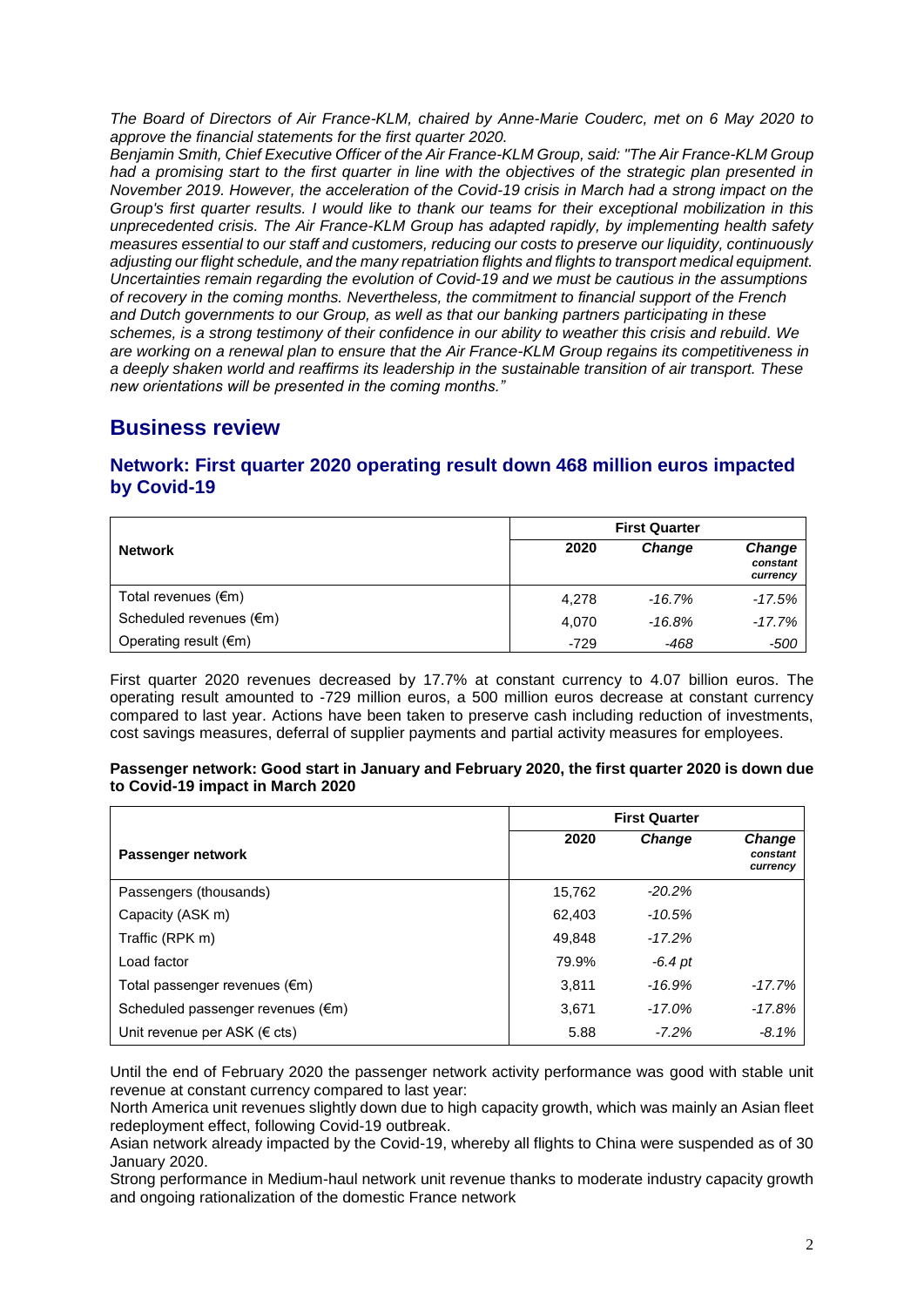*The Board of Directors of Air France-KLM, chaired by Anne-Marie Couderc, met on 6 May 2020 to approve the financial statements for the first quarter 2020.*

*Benjamin Smith, Chief Executive Officer of the Air France-KLM Group, said: "The Air France-KLM Group had a promising start to the first quarter in line with the objectives of the strategic plan presented in November 2019. However, the acceleration of the Covid-19 crisis in March had a strong impact on the Group's first quarter results. I would like to thank our teams for their exceptional mobilization in this unprecedented crisis. The Air France-KLM Group has adapted rapidly, by implementing health safety measures essential to our staff and customers, reducing our costs to preserve our liquidity, continuously adjusting our flight schedule, and the many repatriation flights and flights to transport medical equipment. Uncertainties remain regarding the evolution of Covid-19 and we must be cautious in the assumptions of recovery in the coming months. Nevertheless, the commitment to financial support of the French and Dutch governments to our Group, as well as that our banking partners participating in these schemes, is a strong testimony of their confidence in our ability to weather this crisis and rebuild. We are working on a renewal plan to ensure that the Air France-KLM Group regains its competitiveness in a deeply shaken world and reaffirms its leadership in the sustainable transition of air transport. These new orientations will be presented in the coming months."*

# **Business review**

## **Network: First quarter 2020 operating result down 468 million euros impacted by Covid-19**

|                                   | <b>First Quarter</b> |               |                                       |
|-----------------------------------|----------------------|---------------|---------------------------------------|
| <b>Network</b>                    | 2020                 | <b>Change</b> | <b>Change</b><br>constant<br>currency |
| Total revenues $(\epsilon m)$     | 4.278                | $-16.7%$      | $-17.5%$                              |
| Scheduled revenues $(\epsilon m)$ | 4.070                | $-16.8\%$     | $-17.7%$                              |
| Operating result $(\epsilon m)$   | $-729$               | -468          | $-500$                                |

First quarter 2020 revenues decreased by 17.7% at constant currency to 4.07 billion euros. The operating result amounted to -729 million euros, a 500 million euros decrease at constant currency compared to last year. Actions have been taken to preserve cash including reduction of investments, cost savings measures, deferral of supplier payments and partial activity measures for employees.

#### **Passenger network: Good start in January and February 2020, the first quarter 2020 is down due to Covid-19 impact in March 2020**

|                                   | <b>First Quarter</b> |               |                                       |
|-----------------------------------|----------------------|---------------|---------------------------------------|
| Passenger network                 | 2020                 | <b>Change</b> | <b>Change</b><br>constant<br>currency |
| Passengers (thousands)            | 15,762               | $-20.2\%$     |                                       |
| Capacity (ASK m)                  | 62,403               | $-10.5%$      |                                       |
| Traffic (RPK m)                   | 49.848               | $-17.2%$      |                                       |
| Load factor                       | 79.9%                | $-6.4$ pt     |                                       |
| Total passenger revenues (€m)     | 3,811                | $-16.9%$      | $-17.7%$                              |
| Scheduled passenger revenues (€m) | 3.671                | $-17.0%$      | $-17.8%$                              |
| Unit revenue per ASK ( $\in$ cts) | 5.88                 | $-7.2\%$      | $-8.1%$                               |

Until the end of February 2020 the passenger network activity performance was good with stable unit revenue at constant currency compared to last year:

North America unit revenues slightly down due to high capacity growth, which was mainly an Asian fleet redeployment effect, following Covid-19 outbreak.

Asian network already impacted by the Covid-19, whereby all flights to China were suspended as of 30 January 2020.

Strong performance in Medium-haul network unit revenue thanks to moderate industry capacity growth and ongoing rationalization of the domestic France network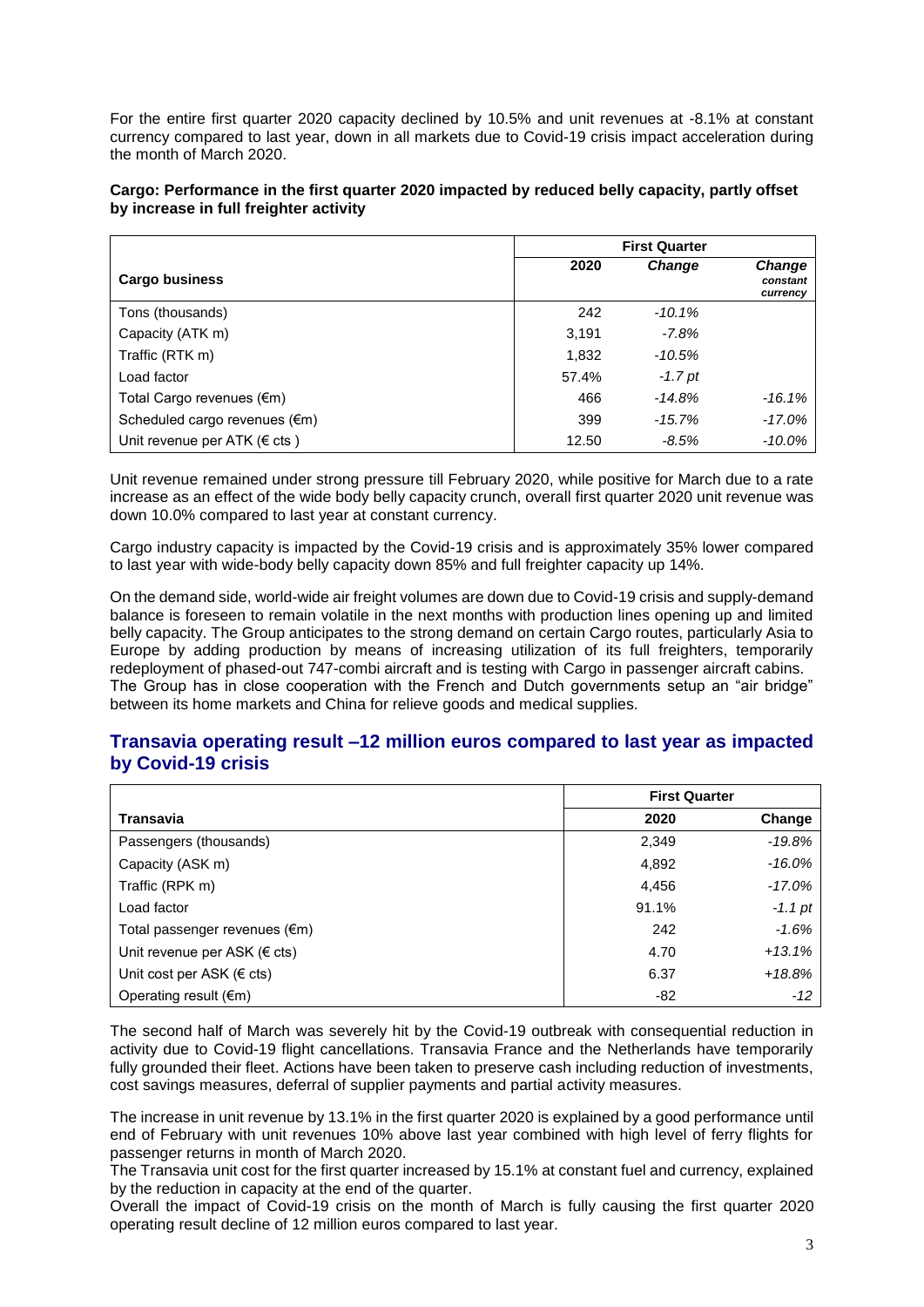For the entire first quarter 2020 capacity declined by 10.5% and unit revenues at -8.1% at constant currency compared to last year, down in all markets due to Covid-19 crisis impact acceleration during the month of March 2020.

#### **Cargo: Performance in the first quarter 2020 impacted by reduced belly capacity, partly offset by increase in full freighter activity**

|                                        | <b>First Quarter</b> |               |                                       |
|----------------------------------------|----------------------|---------------|---------------------------------------|
| <b>Cargo business</b>                  | 2020                 | <b>Change</b> | <b>Change</b><br>constant<br>currency |
| Tons (thousands)                       | 242                  | $-10.1%$      |                                       |
| Capacity (ATK m)                       | 3,191                | $-7.8%$       |                                       |
| Traffic (RTK m)                        | 1,832                | $-10.5%$      |                                       |
| Load factor                            | 57.4%                | $-1.7$ pt     |                                       |
| Total Cargo revenues $(\epsilon m)$    | 466                  | $-14.8%$      | $-16.1%$                              |
| Scheduled cargo revenues (€m)          | 399                  | $-15.7%$      | $-17.0\%$                             |
| Unit revenue per ATK ( $\epsilon$ cts) | 12.50                | $-8.5%$       | -10.0%                                |

Unit revenue remained under strong pressure till February 2020, while positive for March due to a rate increase as an effect of the wide body belly capacity crunch, overall first quarter 2020 unit revenue was down 10.0% compared to last year at constant currency.

Cargo industry capacity is impacted by the Covid-19 crisis and is approximately 35% lower compared to last year with wide-body belly capacity down 85% and full freighter capacity up 14%.

On the demand side, world-wide air freight volumes are down due to Covid-19 crisis and supply-demand balance is foreseen to remain volatile in the next months with production lines opening up and limited belly capacity. The Group anticipates to the strong demand on certain Cargo routes, particularly Asia to Europe by adding production by means of increasing utilization of its full freighters, temporarily redeployment of phased-out 747-combi aircraft and is testing with Cargo in passenger aircraft cabins. The Group has in close cooperation with the French and Dutch governments setup an "air bridge" between its home markets and China for relieve goods and medical supplies.

#### **Transavia operating result –12 million euros compared to last year as impacted by Covid-19 crisis**

|                                     |       | <b>First Quarter</b> |  |  |
|-------------------------------------|-------|----------------------|--|--|
| Transavia                           | 2020  | Change               |  |  |
| Passengers (thousands)              | 2,349 | $-19.8%$             |  |  |
| Capacity (ASK m)                    | 4,892 | $-16.0\%$            |  |  |
| Traffic (RPK m)                     | 4,456 | $-17.0\%$            |  |  |
| Load factor                         | 91.1% | $-1.1$ pt            |  |  |
| Total passenger revenues (€m)       | 242   | $-1.6%$              |  |  |
| Unit revenue per ASK ( $\in$ cts)   | 4.70  | $+13.1%$             |  |  |
| Unit cost per ASK ( $\epsilon$ cts) | 6.37  | $+18.8%$             |  |  |
| Operating result $(\epsilon m)$     | -82   | $-12$                |  |  |

The second half of March was severely hit by the Covid-19 outbreak with consequential reduction in activity due to Covid-19 flight cancellations. Transavia France and the Netherlands have temporarily fully grounded their fleet. Actions have been taken to preserve cash including reduction of investments, cost savings measures, deferral of supplier payments and partial activity measures.

The increase in unit revenue by 13.1% in the first quarter 2020 is explained by a good performance until end of February with unit revenues 10% above last year combined with high level of ferry flights for passenger returns in month of March 2020.

The Transavia unit cost for the first quarter increased by 15.1% at constant fuel and currency, explained by the reduction in capacity at the end of the quarter.

Overall the impact of Covid-19 crisis on the month of March is fully causing the first quarter 2020 operating result decline of 12 million euros compared to last year.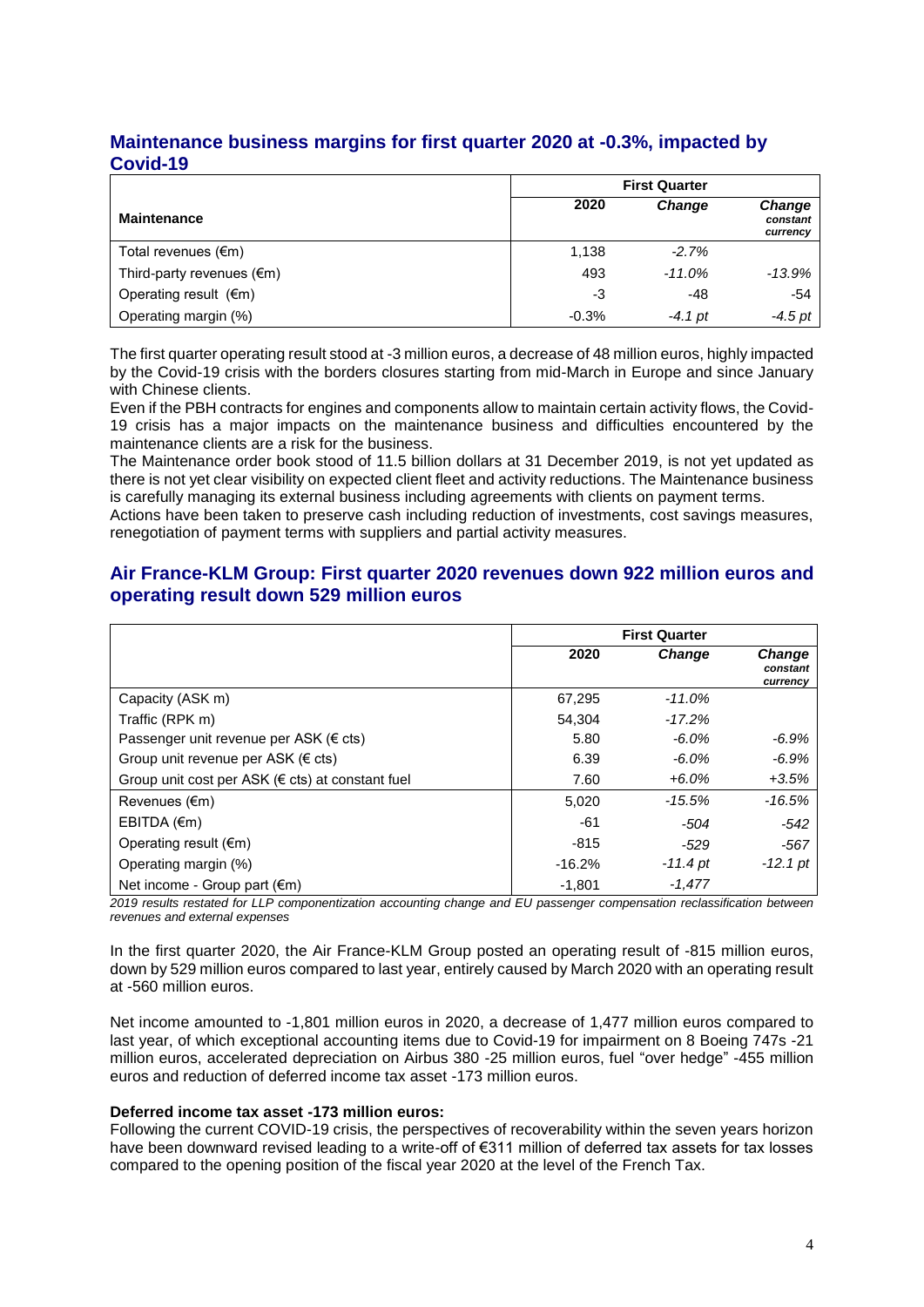### **Maintenance business margins for first quarter 2020 at -0.3%, impacted by Covid-19**

|                                     | <b>First Quarter</b> |               |                                       |
|-------------------------------------|----------------------|---------------|---------------------------------------|
| <b>Maintenance</b>                  | 2020                 | <b>Change</b> | <b>Change</b><br>constant<br>currency |
| Total revenues $(\epsilon m)$       | 1.138                | $-2.7%$       |                                       |
| Third-party revenues $(\epsilon m)$ | 493                  | $-11.0\%$     | -13.9%                                |
| Operating result $(\epsilon m)$     | -3                   | -48           | $-54$                                 |
| Operating margin (%)                | $-0.3%$              | $-4.1$ pt     | $-4.5$ pt                             |

The first quarter operating result stood at -3 million euros, a decrease of 48 million euros, highly impacted by the Covid-19 crisis with the borders closures starting from mid-March in Europe and since January with Chinese clients.

Even if the PBH contracts for engines and components allow to maintain certain activity flows, the Covid-19 crisis has a major impacts on the maintenance business and difficulties encountered by the maintenance clients are a risk for the business.

The Maintenance order book stood of 11.5 billion dollars at 31 December 2019, is not yet updated as there is not yet clear visibility on expected client fleet and activity reductions. The Maintenance business is carefully managing its external business including agreements with clients on payment terms.

Actions have been taken to preserve cash including reduction of investments, cost savings measures, renegotiation of payment terms with suppliers and partial activity measures.

### **Air France-KLM Group: First quarter 2020 revenues down 922 million euros and operating result down 529 million euros**

|                                                            | <b>First Quarter</b> |               |                                       |
|------------------------------------------------------------|----------------------|---------------|---------------------------------------|
|                                                            | 2020                 | <b>Change</b> | <b>Change</b><br>constant<br>currency |
| Capacity (ASK m)                                           | 67,295               | $-11.0%$      |                                       |
| Traffic (RPK m)                                            | 54.304               | $-17.2%$      |                                       |
| Passenger unit revenue per ASK ( $\epsilon$ cts)           | 5.80                 | $-6.0\%$      | $-6.9%$                               |
| Group unit revenue per ASK ( $\in$ cts)                    | 6.39                 | $-6.0\%$      | $-6.9%$                               |
| Group unit cost per ASK ( $\epsilon$ cts) at constant fuel | 7.60                 | $+6.0\%$      | $+3.5%$                               |
| Revenues (€m)                                              | 5,020                | -15.5%        | $-16.5%$                              |
| EBITDA (€m)                                                | -61                  | $-504$        | $-542$                                |
| Operating result $(\epsilon m)$                            | $-815$               | -529          | $-567$                                |
| Operating margin (%)                                       | $-16.2%$             | $-11.4$ pt    | $-12.1$ pt                            |
| Net income - Group part (€m)                               | $-1,801$             | $-1,477$      |                                       |

*2019 results restated for LLP componentization accounting change and EU passenger compensation reclassification between revenues and external expenses*

In the first quarter 2020, the Air France-KLM Group posted an operating result of -815 million euros, down by 529 million euros compared to last year, entirely caused by March 2020 with an operating result at -560 million euros.

Net income amounted to -1,801 million euros in 2020, a decrease of 1,477 million euros compared to last year, of which exceptional accounting items due to Covid-19 for impairment on 8 Boeing 747s -21 million euros, accelerated depreciation on Airbus 380 -25 million euros, fuel "over hedge" -455 million euros and reduction of deferred income tax asset -173 million euros.

#### **Deferred income tax asset -173 million euros:**

Following the current COVID-19 crisis, the perspectives of recoverability within the seven years horizon have been downward revised leading to a write-off of €311 million of deferred tax assets for tax losses compared to the opening position of the fiscal year 2020 at the level of the French Tax.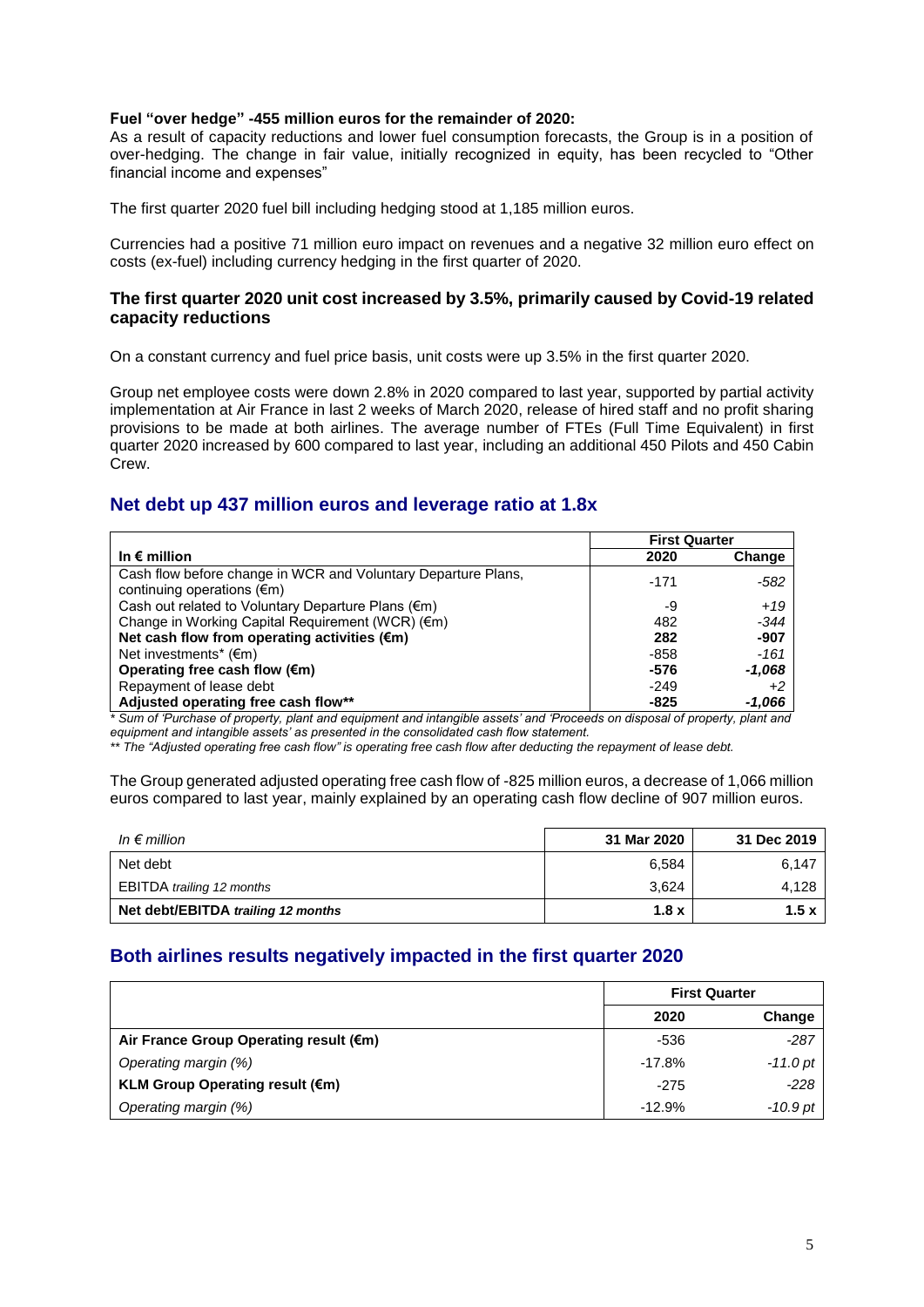#### **Fuel "over hedge" -455 million euros for the remainder of 2020:**

As a result of capacity reductions and lower fuel consumption forecasts, the Group is in a position of over-hedging. The change in fair value, initially recognized in equity, has been recycled to "Other financial income and expenses"

The first quarter 2020 fuel bill including hedging stood at 1,185 million euros.

Currencies had a positive 71 million euro impact on revenues and a negative 32 million euro effect on costs (ex-fuel) including currency hedging in the first quarter of 2020.

#### **The first quarter 2020 unit cost increased by 3.5%, primarily caused by Covid-19 related capacity reductions**

On a constant currency and fuel price basis, unit costs were up 3.5% in the first quarter 2020.

Group net employee costs were down 2.8% in 2020 compared to last year, supported by partial activity implementation at Air France in last 2 weeks of March 2020, release of hired staff and no profit sharing provisions to be made at both airlines. The average number of FTEs (Full Time Equivalent) in first quarter 2020 increased by 600 compared to last year, including an additional 450 Pilots and 450 Cabin Crew.

### **Net debt up 437 million euros and leverage ratio at 1.8x**

|                                                               | <b>First Quarter</b> |          |
|---------------------------------------------------------------|----------------------|----------|
| In $\epsilon$ million                                         | 2020                 | Change   |
| Cash flow before change in WCR and Voluntary Departure Plans, | $-171$               | $-582$   |
| continuing operations $(\epsilon m)$                          |                      |          |
| Cash out related to Voluntary Departure Plans (€m)            | -9                   | $+19$    |
| Change in Working Capital Requirement (WCR) (€m)              | 482                  | $-344$   |
| Net cash flow from operating activities (€m)                  | 282                  | $-907$   |
| Net investments* $(\epsilon m)$                               | -858                 | $-161$   |
| Operating free cash flow $(\epsilon m)$                       | -576                 | $-1,068$ |
| Repayment of lease debt                                       | $-249$               | $+2$     |
| Adjusted operating free cash flow**                           | -825                 | -1,066   |

*\* Sum of 'Purchase of property, plant and equipment and intangible assets' and 'Proceeds on disposal of property, plant and equipment and intangible assets' as presented in the consolidated cash flow statement.*

*\*\* The "Adjusted operating free cash flow" is operating free cash flow after deducting the repayment of lease debt.*

The Group generated adjusted operating free cash flow of -825 million euros, a decrease of 1,066 million euros compared to last year, mainly explained by an operating cash flow decline of 907 million euros.

| In $\epsilon$ million              | 31 Mar 2020 | 31 Dec 2019 |
|------------------------------------|-------------|-------------|
| Net debt                           | 6,584       | 6,147       |
| EBITDA trailing 12 months          | 3.624       | 4,128       |
| Net debt/EBITDA trailing 12 months | 1.8x        | 1.5x        |

# **Both airlines results negatively impacted in the first quarter 2020**

|                                        |          | <b>First Quarter</b> |  |
|----------------------------------------|----------|----------------------|--|
|                                        | 2020     | Change               |  |
| Air France Group Operating result (€m) | -536     | $-287$               |  |
| Operating margin (%)                   | $-17.8%$ | -11.0 pt             |  |
| <b>KLM Group Operating result (€m)</b> | $-275$   | $-228$               |  |
| Operating margin (%)                   | $-12.9%$ | $-10.9$ pt           |  |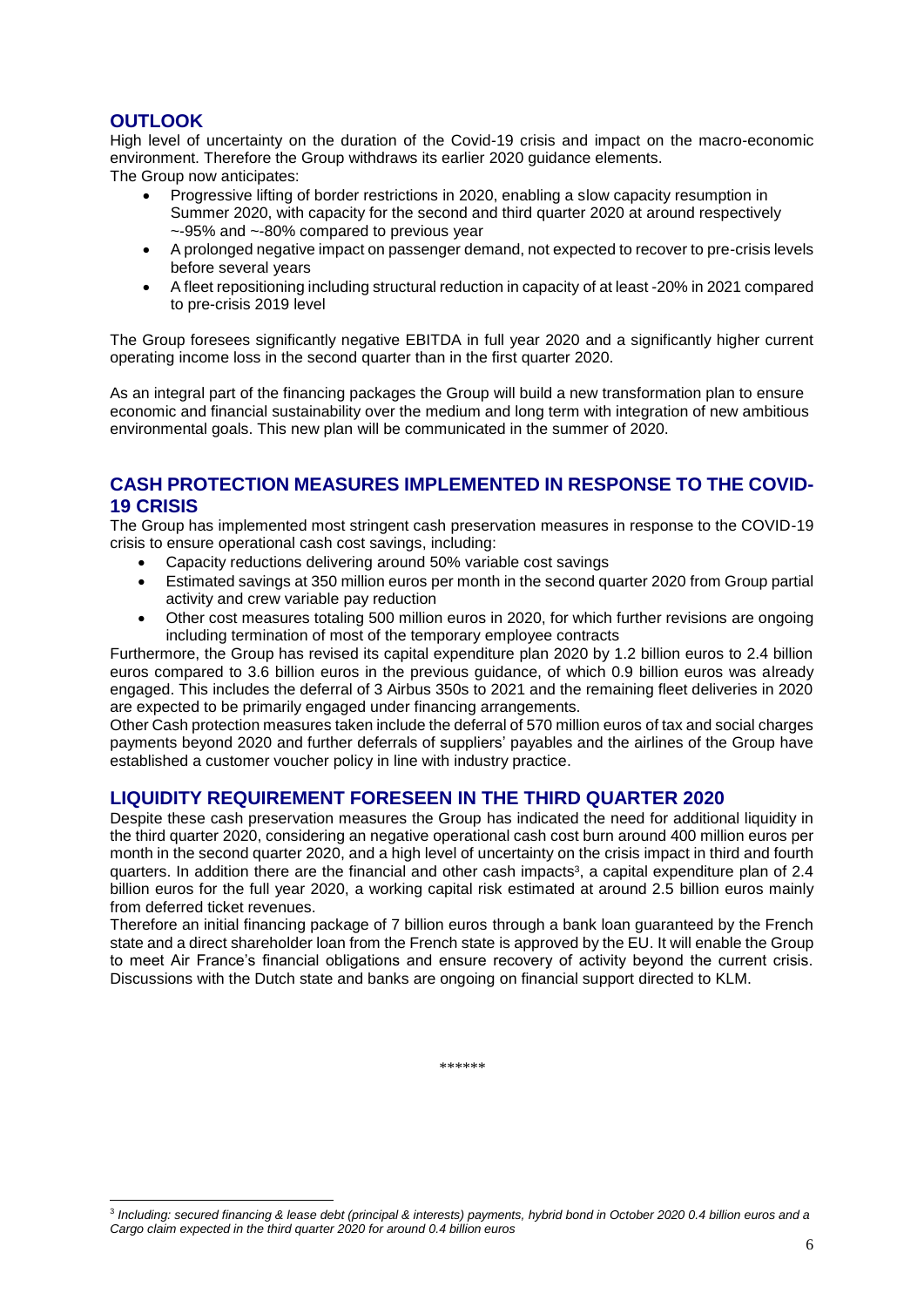## **OUTLOOK**

l

High level of uncertainty on the duration of the Covid-19 crisis and impact on the macro-economic environment. Therefore the Group withdraws its earlier 2020 guidance elements.

The Group now anticipates:

- Progressive lifting of border restrictions in 2020, enabling a slow capacity resumption in Summer 2020, with capacity for the second and third quarter 2020 at around respectively ~-95% and ~-80% compared to previous year
- A prolonged negative impact on passenger demand, not expected to recover to pre-crisis levels before several years
- A fleet repositioning including structural reduction in capacity of at least -20% in 2021 compared to pre-crisis 2019 level

The Group foresees significantly negative EBITDA in full year 2020 and a significantly higher current operating income loss in the second quarter than in the first quarter 2020.

As an integral part of the financing packages the Group will build a new transformation plan to ensure economic and financial sustainability over the medium and long term with integration of new ambitious environmental goals. This new plan will be communicated in the summer of 2020.

### **CASH PROTECTION MEASURES IMPLEMENTED IN RESPONSE TO THE COVID-19 CRISIS**

The Group has implemented most stringent cash preservation measures in response to the COVID-19 crisis to ensure operational cash cost savings, including:

- Capacity reductions delivering around 50% variable cost savings
- Estimated savings at 350 million euros per month in the second quarter 2020 from Group partial activity and crew variable pay reduction
- Other cost measures totaling 500 million euros in 2020, for which further revisions are ongoing including termination of most of the temporary employee contracts

Furthermore, the Group has revised its capital expenditure plan 2020 by 1.2 billion euros to 2.4 billion euros compared to 3.6 billion euros in the previous guidance, of which 0.9 billion euros was already engaged. This includes the deferral of 3 Airbus 350s to 2021 and the remaining fleet deliveries in 2020 are expected to be primarily engaged under financing arrangements.

Other Cash protection measures taken include the deferral of 570 million euros of tax and social charges payments beyond 2020 and further deferrals of suppliers' payables and the airlines of the Group have established a customer voucher policy in line with industry practice.

### **LIQUIDITY REQUIREMENT FORESEEN IN THE THIRD QUARTER 2020**

Despite these cash preservation measures the Group has indicated the need for additional liquidity in the third quarter 2020, considering an negative operational cash cost burn around 400 million euros per month in the second quarter 2020, and a high level of uncertainty on the crisis impact in third and fourth quarters. In addition there are the financial and other cash impacts<sup>3</sup>, a capital expenditure plan of 2.4 billion euros for the full year 2020, a working capital risk estimated at around 2.5 billion euros mainly from deferred ticket revenues.

Therefore an initial financing package of 7 billion euros through a bank loan guaranteed by the French state and a direct shareholder loan from the French state is approved by the EU. It will enable the Group to meet Air France's financial obligations and ensure recovery of activity beyond the current crisis. Discussions with the Dutch state and banks are ongoing on financial support directed to KLM.

*\*\*\*\*\*\**

<sup>3</sup> *Including: secured financing & lease debt (principal & interests) payments, hybrid bond in October 2020 0.4 billion euros and a Cargo claim expected in the third quarter 2020 for around 0.4 billion euros*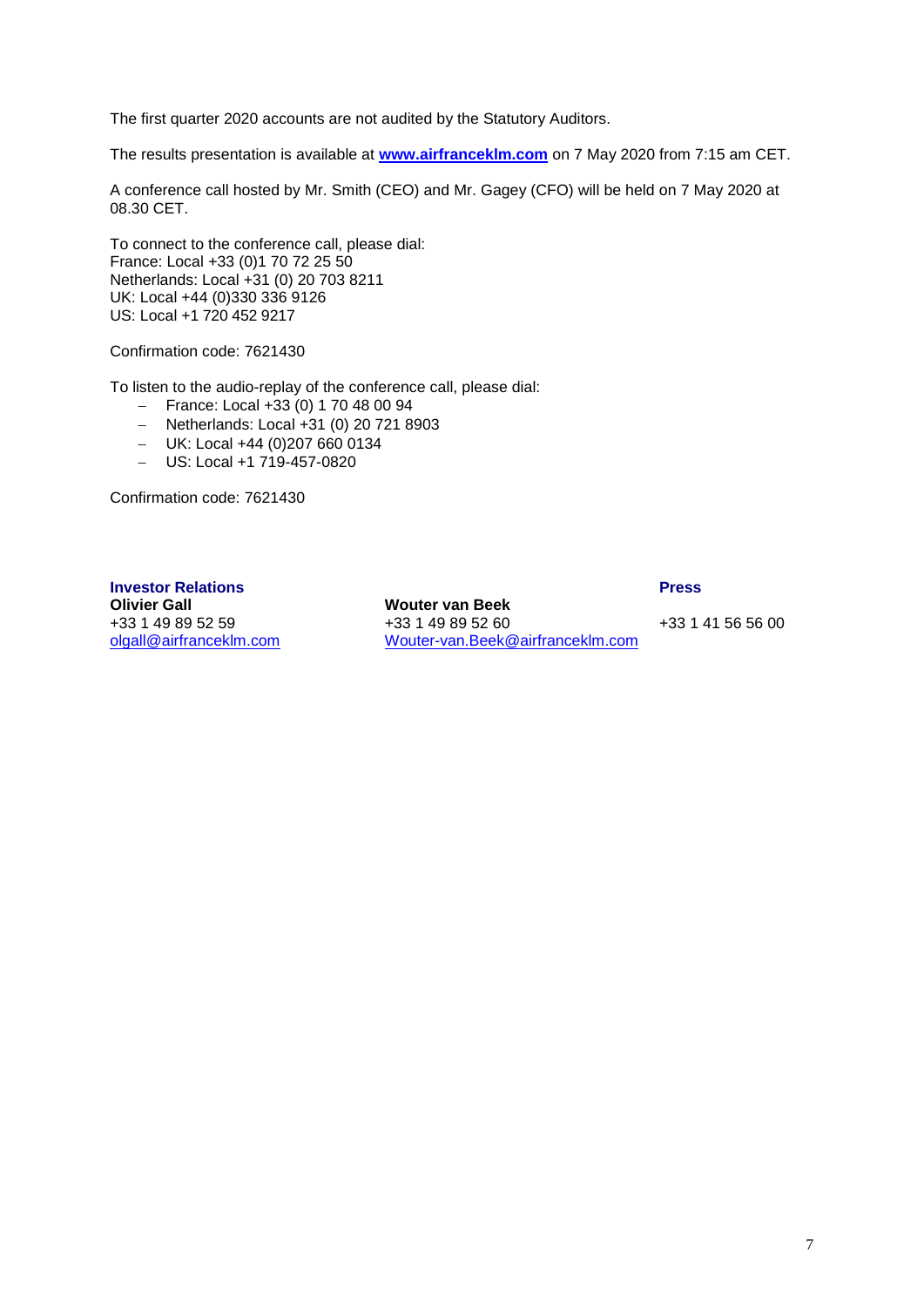The first quarter 2020 accounts are not audited by the Statutory Auditors.

The results presentation is available at **www.airfranceklm.com** on 7 May 2020 from 7:15 am CET.

A conference call hosted by Mr. Smith (CEO) and Mr. Gagey (CFO) will be held on 7 May 2020 at 08.30 CET.

To connect to the conference call, please dial: France: Local +33 (0)1 70 72 25 50 Netherlands: Local +31 (0) 20 703 8211 UK: Local +44 (0)330 336 9126 US: Local +1 720 452 9217

Confirmation code: 7621430

To listen to the audio-replay of the conference call, please dial:

- $-$  France: Local +33 (0) 1 70 48 00 94
- $-$  Netherlands: Local +31 (0) 20 721 8903
- UK: Local +44 (0)207 660 0134
- US: Local +1 719-457-0820

Confirmation code: 7621430

**Investor Relations Press Olivier Gall Mouter van Beek**<br>+33 1 49 89 52 59 +33 1 49 89 52 60

+33 1 49 89 52 60 +33 1 41 56 56 00 [olgall@airfranceklm.com](mailto:olgall@airfranceklm.com) [Wouter-van.Beek@airfranceklm.com](mailto:Wouter-van.Beek@airfranceklm.com)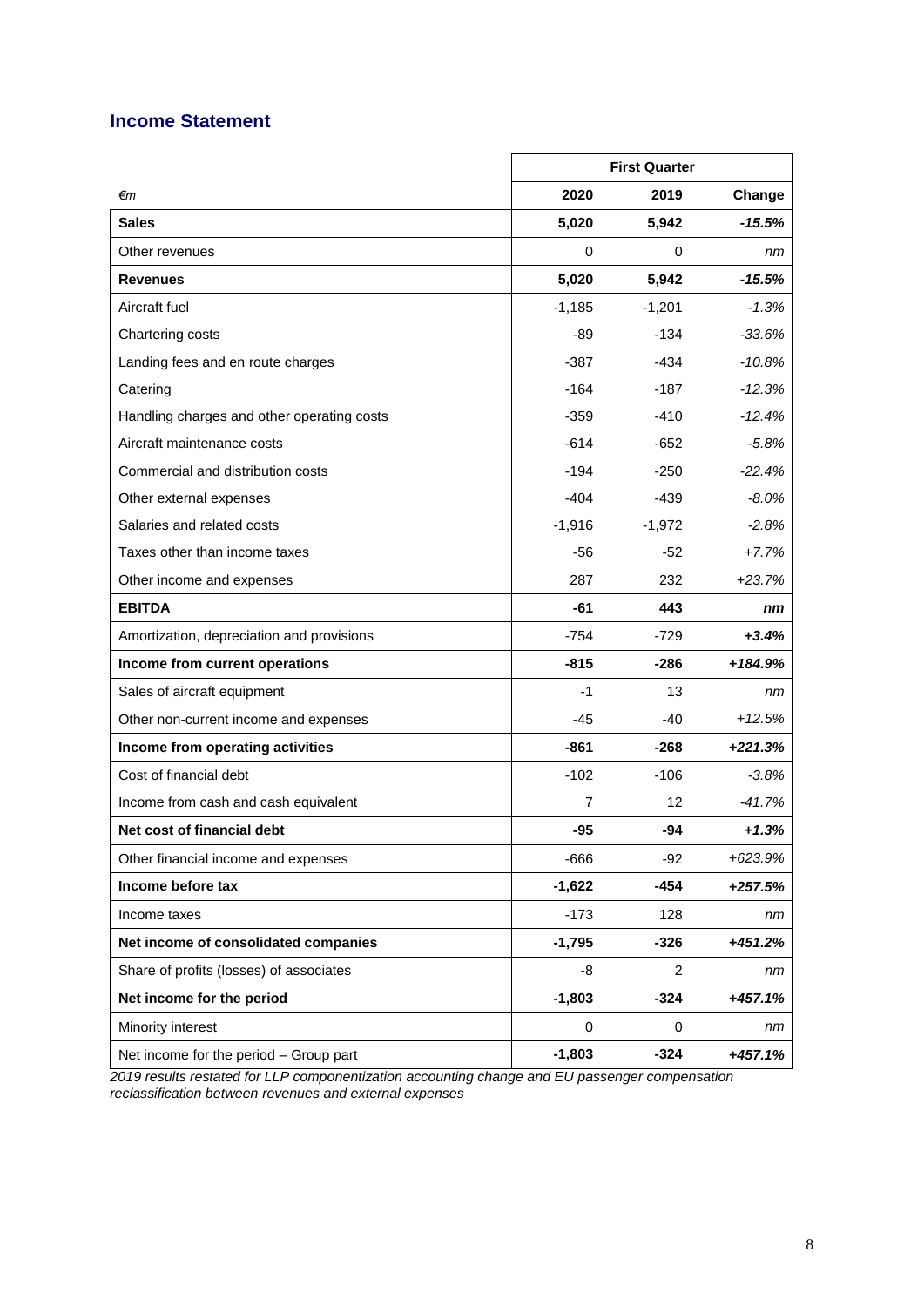# **Income Statement**

|                                            | <b>First Quarter</b> |          |           |
|--------------------------------------------|----------------------|----------|-----------|
| €m                                         | 2020                 | 2019     | Change    |
| <b>Sales</b>                               | 5,020                | 5,942    | -15.5%    |
| Other revenues                             | 0                    | 0        | nm        |
| <b>Revenues</b>                            | 5,020                | 5,942    | $-15.5%$  |
| Aircraft fuel                              | $-1,185$             | $-1,201$ | $-1.3%$   |
| Chartering costs                           | -89                  | $-134$   | $-33.6%$  |
| Landing fees and en route charges          | -387                 | -434     | $-10.8%$  |
| Catering                                   | -164                 | -187     | $-12.3%$  |
| Handling charges and other operating costs | $-359$               | $-410$   | $-12.4%$  |
| Aircraft maintenance costs                 | -614                 | $-652$   | $-5.8%$   |
| Commercial and distribution costs          | -194                 | $-250$   | $-22.4%$  |
| Other external expenses                    | $-404$               | $-439$   | $-8.0%$   |
| Salaries and related costs                 | $-1,916$             | $-1,972$ | $-2.8%$   |
| Taxes other than income taxes              | -56                  | $-52$    | $+7.7%$   |
| Other income and expenses                  | 287                  | 232      | $+23.7%$  |
| <b>EBITDA</b>                              | -61                  | 443      | nm        |
| Amortization, depreciation and provisions  | $-754$               | -729     | $+3.4%$   |
| Income from current operations             | $-815$               | -286     | +184.9%   |
| Sales of aircraft equipment                | -1                   | 13       | nm        |
| Other non-current income and expenses      | -45                  | -40      | $+12.5%$  |
| Income from operating activities           | $-861$               | -268     | $+221.3%$ |
| Cost of financial debt                     | $-102$               | $-106$   | $-3.8%$   |
| Income from cash and cash equivalent       | 7                    | 12       | $-41.7%$  |
| Net cost of financial debt                 | -95                  | -94      | $+1.3%$   |
| Other financial income and expenses        | $-666$               | $-92$    | +623.9%   |
| Income before tax                          | $-1,622$             | $-454$   | $+257.5%$ |
| Income taxes                               | $-173$               | 128      | nm        |
| Net income of consolidated companies       | $-1,795$             | $-326$   | +451.2%   |
| Share of profits (losses) of associates    | -8                   | 2        | nm        |
| Net income for the period                  | $-1,803$             | $-324$   | $+457.1%$ |
| Minority interest                          | 0                    | 0        | nm        |
| Net income for the period - Group part     | $-1,803$             | $-324$   | +457.1%   |

*2019 results restated for LLP componentization accounting change and EU passenger compensation reclassification between revenues and external expenses*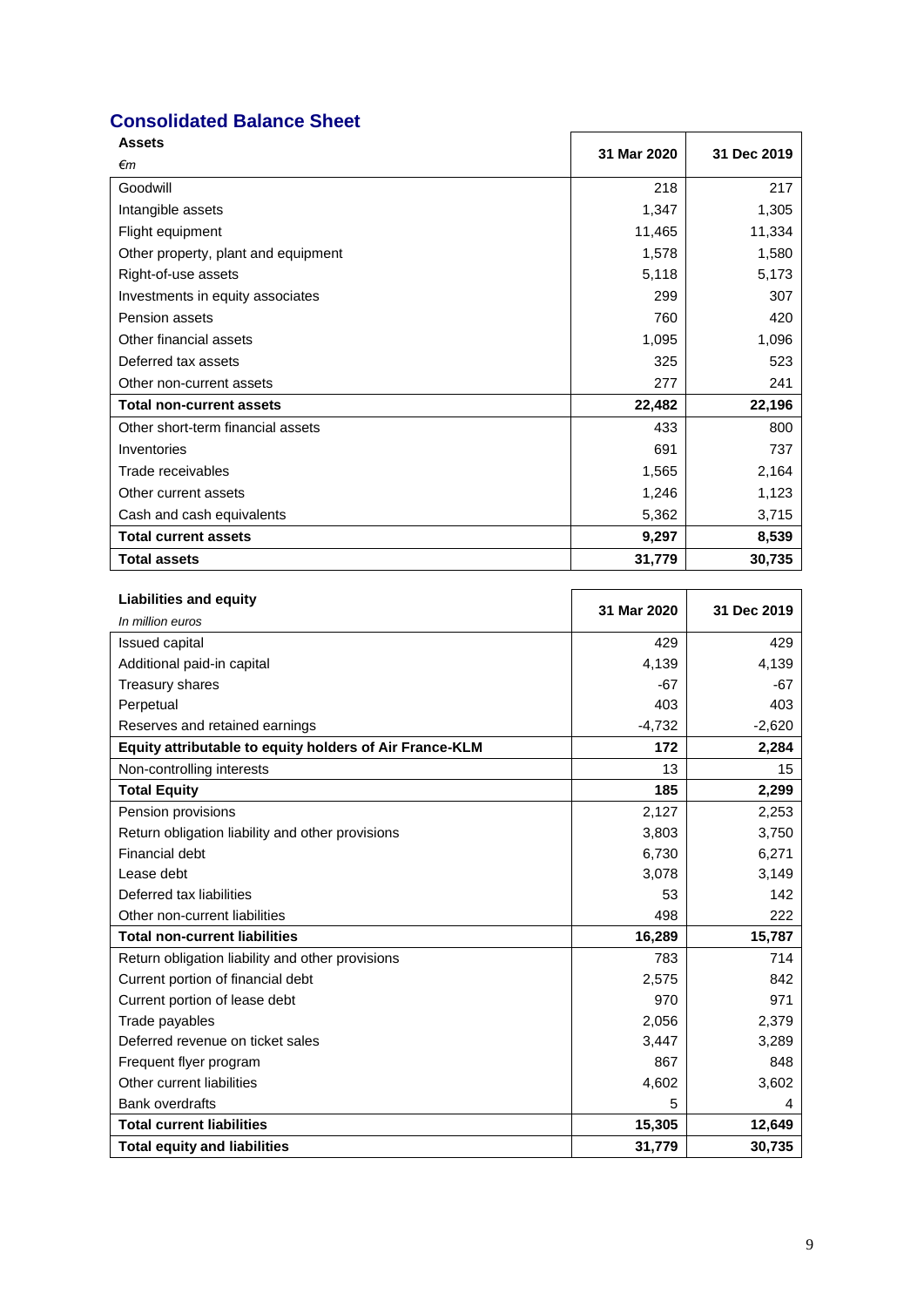# **Consolidated Balance Sheet**

| <b>Assets</b>                       | 31 Mar 2020 | 31 Dec 2019 |
|-------------------------------------|-------------|-------------|
| €m                                  |             |             |
| Goodwill                            | 218         | 217         |
| Intangible assets                   | 1,347       | 1,305       |
| Flight equipment                    | 11,465      | 11,334      |
| Other property, plant and equipment | 1,578       | 1,580       |
| Right-of-use assets                 | 5,118       | 5,173       |
| Investments in equity associates    | 299         | 307         |
| Pension assets                      | 760         | 420         |
| Other financial assets              | 1,095       | 1,096       |
| Deferred tax assets                 | 325         | 523         |
| Other non-current assets            | 277         | 241         |
| <b>Total non-current assets</b>     | 22,482      | 22,196      |
| Other short-term financial assets   | 433         | 800         |
| Inventories                         | 691         | 737         |
| Trade receivables                   | 1,565       | 2,164       |
| Other current assets                | 1,246       | 1,123       |
| Cash and cash equivalents           | 5,362       | 3,715       |
| <b>Total current assets</b>         | 9,297       | 8,539       |
| <b>Total assets</b>                 | 31,779      | 30,735      |

| <b>Liabilities and equity</b>                           | 31 Mar 2020 | 31 Dec 2019 |
|---------------------------------------------------------|-------------|-------------|
| In million euros                                        |             |             |
| Issued capital                                          | 429         | 429         |
| Additional paid-in capital                              | 4,139       | 4,139       |
| Treasury shares                                         | $-67$       | $-67$       |
| Perpetual                                               | 403         | 403         |
| Reserves and retained earnings                          | $-4,732$    | $-2,620$    |
| Equity attributable to equity holders of Air France-KLM | 172         | 2,284       |
| Non-controlling interests                               | 13          | 15          |
| <b>Total Equity</b>                                     | 185         | 2,299       |
| Pension provisions                                      | 2,127       | 2,253       |
| Return obligation liability and other provisions        | 3,803       | 3,750       |
| Financial debt                                          | 6,730       | 6,271       |
| Lease debt                                              | 3,078       | 3,149       |
| Deferred tax liabilities                                | 53          | 142         |
| Other non-current liabilities                           | 498         | 222         |
| <b>Total non-current liabilities</b>                    | 16,289      | 15,787      |
| Return obligation liability and other provisions        | 783         | 714         |
| Current portion of financial debt                       | 2,575       | 842         |
| Current portion of lease debt                           | 970         | 971         |
| Trade payables                                          | 2,056       | 2,379       |
| Deferred revenue on ticket sales                        | 3,447       | 3,289       |
| Frequent flyer program                                  | 867         | 848         |
| Other current liabilities                               | 4,602       | 3,602       |
| <b>Bank overdrafts</b>                                  | 5           | 4           |
| <b>Total current liabilities</b>                        | 15,305      | 12,649      |
| <b>Total equity and liabilities</b>                     | 31,779      | 30,735      |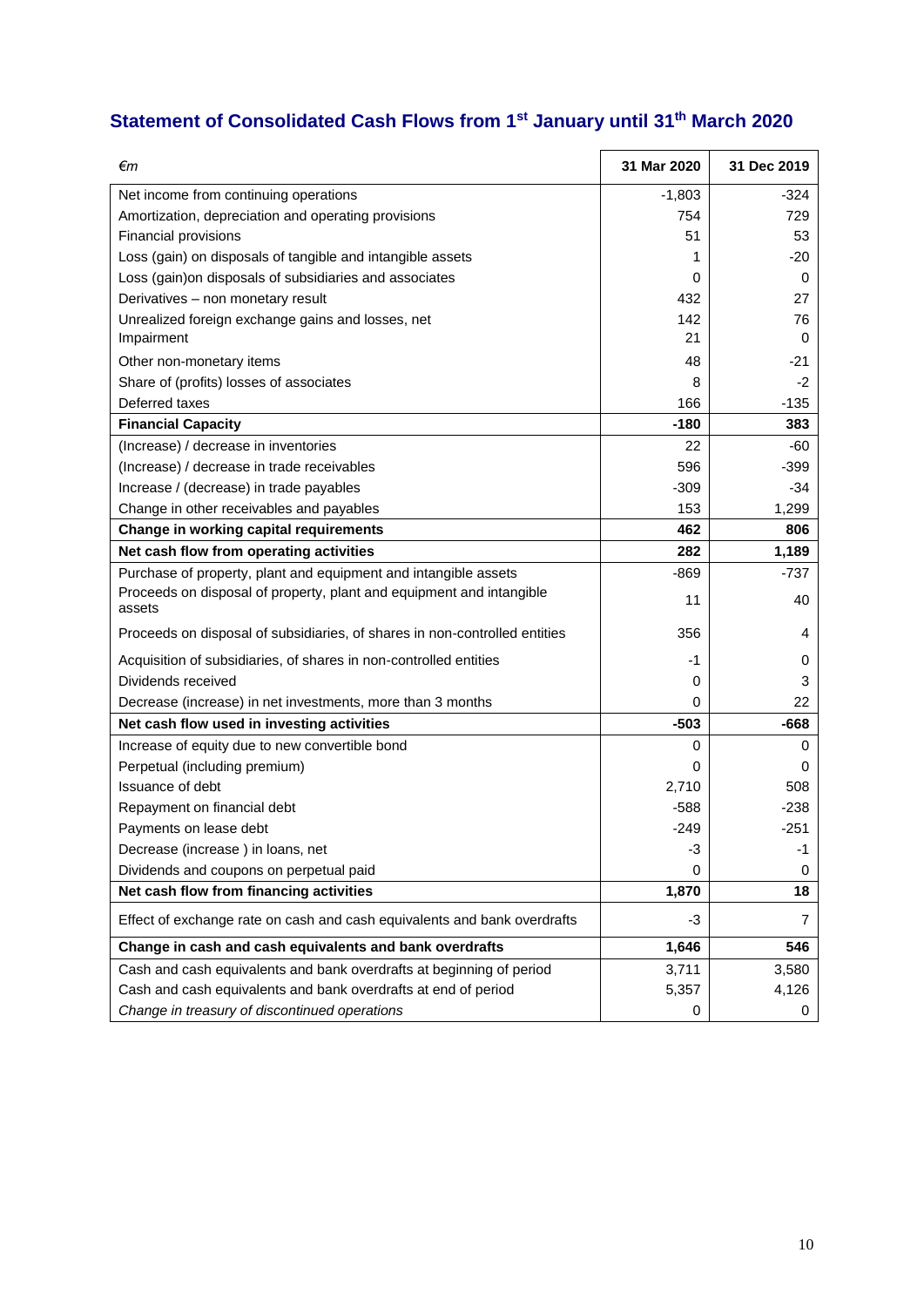# **Statement of Consolidated Cash Flows from 1st January until 31 th March 2020**

| €m                                                                             | 31 Mar 2020 | 31 Dec 2019 |
|--------------------------------------------------------------------------------|-------------|-------------|
| Net income from continuing operations                                          | $-1,803$    | -324        |
| Amortization, depreciation and operating provisions                            | 754         | 729         |
| Financial provisions                                                           | 51          | 53          |
| Loss (gain) on disposals of tangible and intangible assets                     | 1           | -20         |
| Loss (gain) on disposals of subsidiaries and associates                        | 0           | 0           |
| Derivatives - non monetary result                                              | 432         | 27          |
| Unrealized foreign exchange gains and losses, net                              | 142         | 76          |
| Impairment                                                                     | 21          | 0           |
| Other non-monetary items                                                       | 48          | -21         |
| Share of (profits) losses of associates                                        | 8           | $-2$        |
| Deferred taxes                                                                 | 166         | $-135$      |
| <b>Financial Capacity</b>                                                      | $-180$      | 383         |
| (Increase) / decrease in inventories                                           | 22          | -60         |
| (Increase) / decrease in trade receivables                                     | 596         | $-399$      |
| Increase / (decrease) in trade payables                                        | $-309$      | $-34$       |
| Change in other receivables and payables                                       | 153         | 1,299       |
| Change in working capital requirements                                         | 462         | 806         |
| Net cash flow from operating activities                                        | 282         | 1,189       |
| Purchase of property, plant and equipment and intangible assets                | $-869$      | $-737$      |
| Proceeds on disposal of property, plant and equipment and intangible<br>assets | 11          | 40          |
| Proceeds on disposal of subsidiaries, of shares in non-controlled entities     | 356         | 4           |
| Acquisition of subsidiaries, of shares in non-controlled entities              | -1          | 0           |
| Dividends received                                                             | 0           | 3           |
| Decrease (increase) in net investments, more than 3 months                     | 0           | 22          |
| Net cash flow used in investing activities                                     | $-503$      | $-668$      |
| Increase of equity due to new convertible bond                                 | 0           | 0           |
| Perpetual (including premium)                                                  | 0           | 0           |
| Issuance of debt                                                               | 2,710       | 508         |
| Repayment on financial debt                                                    | $-588$      | $-238$      |
| Payments on lease debt                                                         | $-249$      | $-251$      |
| Decrease (increase) in loans, net                                              | -3          | $-1$        |
| Dividends and coupons on perpetual paid                                        | 0           | 0           |
| Net cash flow from financing activities                                        | 1,870       | 18          |
| Effect of exchange rate on cash and cash equivalents and bank overdrafts       | -3          | 7           |
| Change in cash and cash equivalents and bank overdrafts                        | 1,646       | 546         |
| Cash and cash equivalents and bank overdrafts at beginning of period           | 3,711       | 3,580       |
| Cash and cash equivalents and bank overdrafts at end of period                 | 5,357       | 4,126       |
| Change in treasury of discontinued operations                                  | 0           | 0           |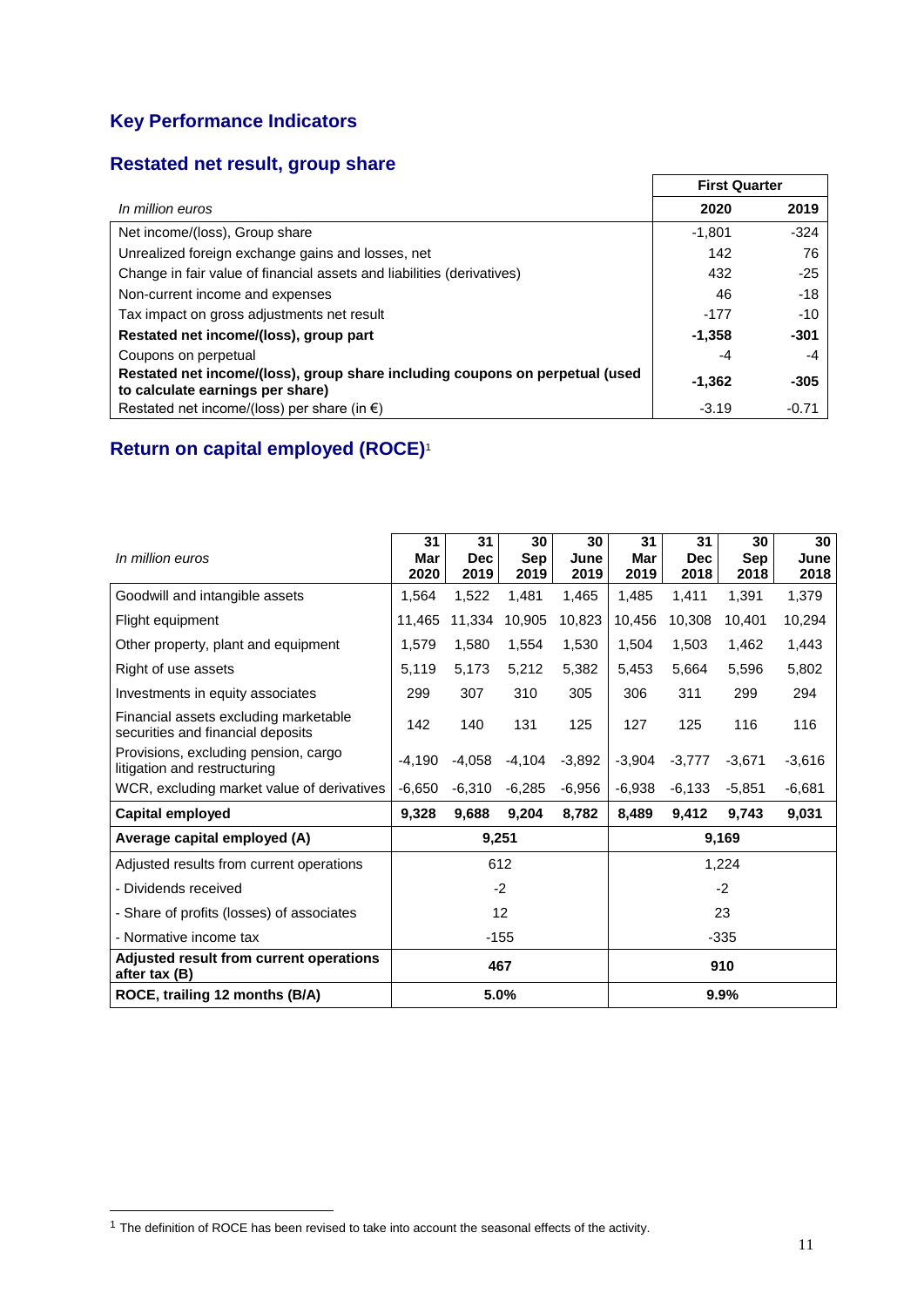# **Key Performance Indicators**

# **Restated net result, group share**

|                                                                                                                  | <b>First Quarter</b> |         |  |
|------------------------------------------------------------------------------------------------------------------|----------------------|---------|--|
| In million euros                                                                                                 | 2020                 | 2019    |  |
| Net income/(loss), Group share                                                                                   | $-1,801$             | $-324$  |  |
| Unrealized foreign exchange gains and losses, net                                                                | 142                  | 76      |  |
| Change in fair value of financial assets and liabilities (derivatives)                                           | 432                  | $-25$   |  |
| Non-current income and expenses                                                                                  | 46                   | -18     |  |
| Tax impact on gross adjustments net result                                                                       | $-177$               | $-10$   |  |
| Restated net income/(loss), group part                                                                           | $-1,358$             | $-301$  |  |
| Coupons on perpetual                                                                                             | -4                   | -4      |  |
| Restated net income/(loss), group share including coupons on perpetual (used<br>to calculate earnings per share) |                      | $-305$  |  |
| Restated net income/(loss) per share (in $\epsilon$ )                                                            | $-3.19$              | $-0.71$ |  |

# **Return on capital employed (ROCE)**<sup>1</sup>

| In million euros                                                           | 31<br>Mar<br>2020 | 31<br><b>Dec</b><br>2019 | 30<br>Sep<br>2019 | 30<br>June<br>2019 | 31<br>Mar<br>2019 | 31<br><b>Dec</b><br>2018 | 30<br>Sep<br>2018 | 30<br>June<br>2018 |
|----------------------------------------------------------------------------|-------------------|--------------------------|-------------------|--------------------|-------------------|--------------------------|-------------------|--------------------|
| Goodwill and intangible assets                                             | 1,564             | 1,522                    | 1,481             | 1,465              | 1,485             | 1,411                    | 1,391             | 1,379              |
| Flight equipment                                                           | 11,465            | 11,334                   | 10,905            | 10,823             | 10,456            | 10,308                   | 10,401            | 10,294             |
| Other property, plant and equipment                                        | 1,579             | 1,580                    | 1,554             | 1,530              | 1,504             | 1,503                    | 1,462             | 1,443              |
| Right of use assets                                                        | 5,119             | 5,173                    | 5,212             | 5,382              | 5,453             | 5,664                    | 5,596             | 5,802              |
| Investments in equity associates                                           | 299               | 307                      | 310               | 305                | 306               | 311                      | 299               | 294                |
| Financial assets excluding marketable<br>securities and financial deposits | 142               | 140                      | 131               | 125                | 127               | 125                      | 116               | 116                |
| Provisions, excluding pension, cargo<br>litigation and restructuring       | $-4,190$          | $-4,058$                 | $-4,104$          | $-3,892$           | $-3,904$          | $-3,777$                 | $-3,671$          | $-3,616$           |
| WCR, excluding market value of derivatives                                 | $-6,650$          | $-6,310$                 | $-6,285$          | $-6,956$           | $-6,938$          | $-6,133$                 | $-5,851$          | $-6,681$           |
| Capital employed                                                           | 9,328             | 9,688                    | 9,204             | 8,782              | 8,489             | 9,412                    | 9,743             | 9,031              |
| Average capital employed (A)                                               |                   |                          | 9,251             |                    | 9,169             |                          |                   |                    |
| Adjusted results from current operations                                   |                   |                          | 612               |                    |                   |                          | 1,224             |                    |
| - Dividends received                                                       |                   |                          | $-2$              |                    | $-2$              |                          |                   |                    |
| - Share of profits (losses) of associates                                  | 12                |                          |                   | 23                 |                   |                          |                   |                    |
| - Normative income tax                                                     | $-155$            |                          |                   |                    | $-335$            |                          |                   |                    |
| Adjusted result from current operations<br>after tax (B)                   | 467<br>910        |                          |                   |                    |                   |                          |                   |                    |
| ROCE, trailing 12 months (B/A)                                             | 5.0%<br>9.9%      |                          |                   |                    |                   |                          |                   |                    |

 $\overline{a}$ 

 $1$  The definition of ROCE has been revised to take into account the seasonal effects of the activity.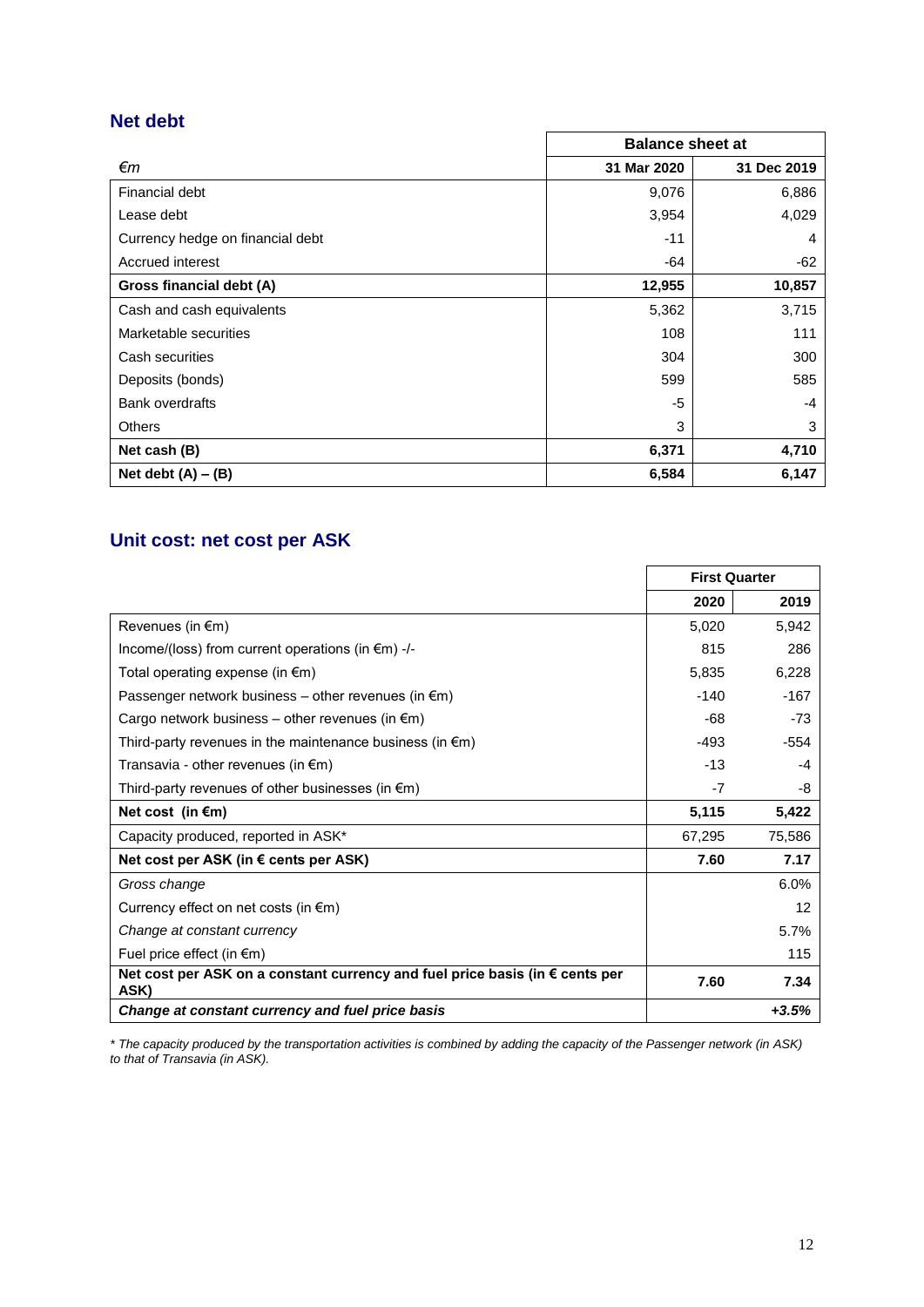# **Net debt**

|                                  | <b>Balance sheet at</b> |             |  |  |
|----------------------------------|-------------------------|-------------|--|--|
| €т                               | 31 Mar 2020             | 31 Dec 2019 |  |  |
| Financial debt                   | 9,076                   | 6,886       |  |  |
| Lease debt                       | 3,954                   | 4,029       |  |  |
| Currency hedge on financial debt | $-11$                   | 4           |  |  |
| Accrued interest                 | $-64$                   | -62         |  |  |
| Gross financial debt (A)         | 12,955                  | 10,857      |  |  |
| Cash and cash equivalents        | 5,362                   | 3,715       |  |  |
| Marketable securities            | 108                     | 111         |  |  |
| Cash securities                  | 304                     | 300         |  |  |
| Deposits (bonds)                 | 599                     | 585         |  |  |
| <b>Bank overdrafts</b>           | -5                      | -4          |  |  |
| <b>Others</b>                    | 3                       | 3           |  |  |
| Net cash (B)                     | 6,371                   | 4,710       |  |  |
| Net debt $(A) - (B)$             | 6,584                   | 6,147       |  |  |

# **Unit cost: net cost per ASK**

|                                                                                      | <b>First Quarter</b> |         |  |
|--------------------------------------------------------------------------------------|----------------------|---------|--|
|                                                                                      | 2020                 | 2019    |  |
| Revenues (in $\epsilon$ m)                                                           | 5,020                | 5.942   |  |
| Income/(loss) from current operations (in $\epsilon$ m) -/-                          | 815                  | 286     |  |
| Total operating expense (in $\epsilon$ m)                                            | 5,835                | 6,228   |  |
| Passenger network business – other revenues (in $\epsilon$ m)                        | $-140$               | $-167$  |  |
| Cargo network business – other revenues (in $\epsilon$ m)                            | -68                  | $-73$   |  |
| Third-party revenues in the maintenance business (in $\epsilon$ m)                   | $-493$               | $-554$  |  |
| Transavia - other revenues (in $\epsilon$ m)                                         | $-13$                | -4      |  |
| Third-party revenues of other businesses (in $\epsilon$ m)                           | -7                   | -8      |  |
| Net cost (in $\epsilon$ m)                                                           | 5,115                | 5,422   |  |
| Capacity produced, reported in ASK*                                                  | 67,295               | 75,586  |  |
| Net cost per ASK (in $\epsilon$ cents per ASK)                                       | 7.60                 | 7.17    |  |
| Gross change                                                                         |                      | 6.0%    |  |
| Currency effect on net costs (in $\epsilon$ m)                                       |                      | 12      |  |
| Change at constant currency                                                          |                      | 5.7%    |  |
| Fuel price effect (in $\epsilon$ m)                                                  |                      | 115     |  |
| Net cost per ASK on a constant currency and fuel price basis (in € cents per<br>ASK) | 7.60                 | 7.34    |  |
| Change at constant currency and fuel price basis                                     |                      | $+3.5%$ |  |

*\* The capacity produced by the transportation activities is combined by adding the capacity of the Passenger network (in ASK) to that of Transavia (in ASK).*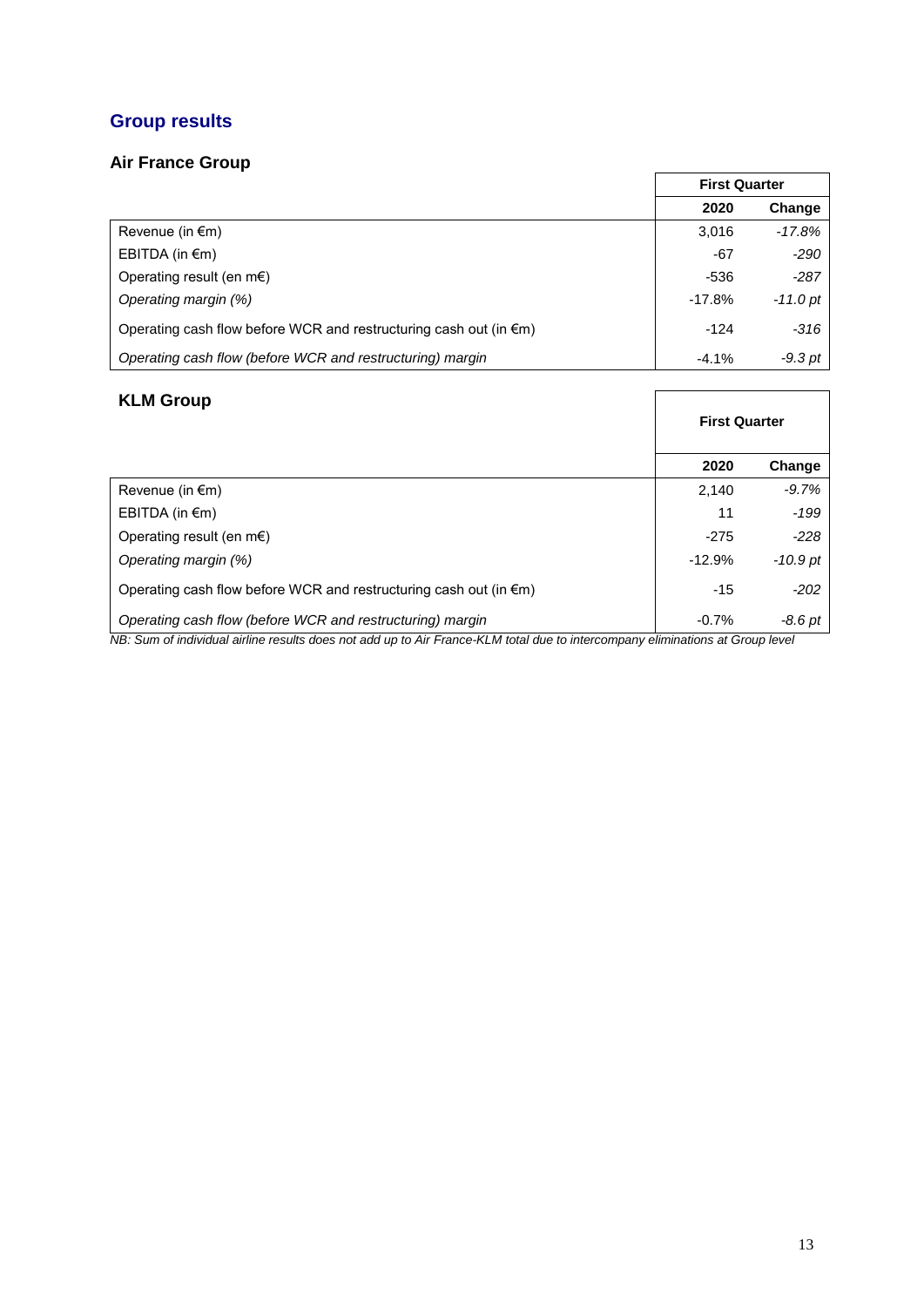# **Group results**

## **Air France Group**

|                                                                             | <b>First Quarter</b> |            |  |
|-----------------------------------------------------------------------------|----------------------|------------|--|
|                                                                             | 2020                 | Change     |  |
| Revenue (in $\epsilon$ m)                                                   | 3.016                | -17.8%     |  |
| EBITDA (in $\epsilon$ m)                                                    | -67                  | $-290$     |  |
| Operating result (en $m \in$ )                                              | $-536$               | $-287$     |  |
| Operating margin (%)                                                        | $-17.8%$             | $-11.0$ pt |  |
| Operating cash flow before WCR and restructuring cash out (in $\epsilon$ m) | $-124$               | $-316$     |  |
| Operating cash flow (before WCR and restructuring) margin                   | $-4.1%$              | -9.3 pt    |  |

## **KLM Group**

| <b>KLM Group</b>                                                            | <b>First Quarter</b> |            |  |
|-----------------------------------------------------------------------------|----------------------|------------|--|
|                                                                             | 2020                 | Change     |  |
| Revenue (in $\epsilon$ m)                                                   | 2.140                | $-9.7%$    |  |
| EBITDA (in $\epsilon$ m)                                                    | 11                   | $-199$     |  |
| Operating result (en m $\epsilon$ )                                         | $-275$               | $-228$     |  |
| Operating margin (%)                                                        | $-12.9%$             | $-10.9$ pt |  |
| Operating cash flow before WCR and restructuring cash out (in $\epsilon$ m) | $-15$                | $-202$     |  |
| Operating cash flow (before WCR and restructuring) margin                   | $-0.7%$              | $-8.6pt$   |  |

*NB: Sum of individual airline results does not add up to Air France-KLM total due to intercompany eliminations at Group level*